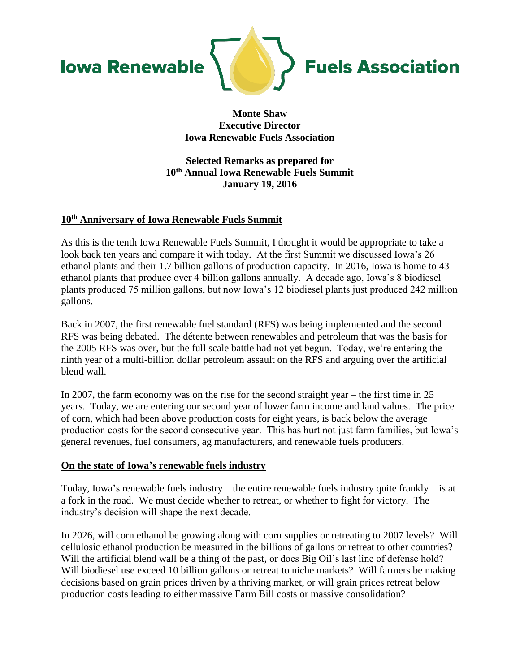

**Monte Shaw Executive Director Iowa Renewable Fuels Association**

**Selected Remarks as prepared for 10th Annual Iowa Renewable Fuels Summit January 19, 2016**

# **10th Anniversary of Iowa Renewable Fuels Summit**

As this is the tenth Iowa Renewable Fuels Summit, I thought it would be appropriate to take a look back ten years and compare it with today. At the first Summit we discussed Iowa's 26 ethanol plants and their 1.7 billion gallons of production capacity. In 2016, Iowa is home to 43 ethanol plants that produce over 4 billion gallons annually. A decade ago, Iowa's 8 biodiesel plants produced 75 million gallons, but now Iowa's 12 biodiesel plants just produced 242 million gallons.

Back in 2007, the first renewable fuel standard (RFS) was being implemented and the second RFS was being debated. The détente between renewables and petroleum that was the basis for the 2005 RFS was over, but the full scale battle had not yet begun. Today, we're entering the ninth year of a multi-billion dollar petroleum assault on the RFS and arguing over the artificial blend wall.

In 2007, the farm economy was on the rise for the second straight year – the first time in 25 years. Today, we are entering our second year of lower farm income and land values. The price of corn, which had been above production costs for eight years, is back below the average production costs for the second consecutive year. This has hurt not just farm families, but Iowa's general revenues, fuel consumers, ag manufacturers, and renewable fuels producers.

### **On the state of Iowa's renewable fuels industry**

Today, Iowa's renewable fuels industry – the entire renewable fuels industry quite frankly – is at a fork in the road. We must decide whether to retreat, or whether to fight for victory. The industry's decision will shape the next decade.

In 2026, will corn ethanol be growing along with corn supplies or retreating to 2007 levels? Will cellulosic ethanol production be measured in the billions of gallons or retreat to other countries? Will the artificial blend wall be a thing of the past, or does Big Oil's last line of defense hold? Will biodiesel use exceed 10 billion gallons or retreat to niche markets? Will farmers be making decisions based on grain prices driven by a thriving market, or will grain prices retreat below production costs leading to either massive Farm Bill costs or massive consolidation?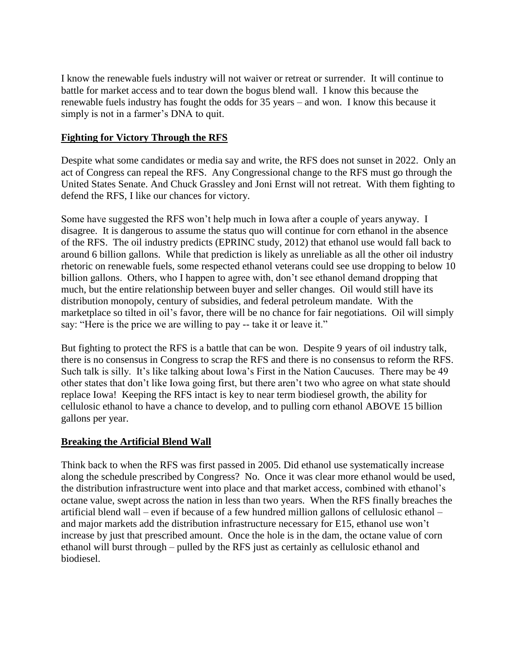I know the renewable fuels industry will not waiver or retreat or surrender. It will continue to battle for market access and to tear down the bogus blend wall. I know this because the renewable fuels industry has fought the odds for 35 years – and won. I know this because it simply is not in a farmer's DNA to quit.

## **Fighting for Victory Through the RFS**

Despite what some candidates or media say and write, the RFS does not sunset in 2022. Only an act of Congress can repeal the RFS. Any Congressional change to the RFS must go through the United States Senate. And Chuck Grassley and Joni Ernst will not retreat. With them fighting to defend the RFS, I like our chances for victory.

Some have suggested the RFS won't help much in Iowa after a couple of years anyway. I disagree. It is dangerous to assume the status quo will continue for corn ethanol in the absence of the RFS. The oil industry predicts (EPRINC study, 2012) that ethanol use would fall back to around 6 billion gallons. While that prediction is likely as unreliable as all the other oil industry rhetoric on renewable fuels, some respected ethanol veterans could see use dropping to below 10 billion gallons. Others, who I happen to agree with, don't see ethanol demand dropping that much, but the entire relationship between buyer and seller changes. Oil would still have its distribution monopoly, century of subsidies, and federal petroleum mandate. With the marketplace so tilted in oil's favor, there will be no chance for fair negotiations. Oil will simply say: "Here is the price we are willing to pay -- take it or leave it."

But fighting to protect the RFS is a battle that can be won. Despite 9 years of oil industry talk, there is no consensus in Congress to scrap the RFS and there is no consensus to reform the RFS. Such talk is silly. It's like talking about Iowa's First in the Nation Caucuses. There may be 49 other states that don't like Iowa going first, but there aren't two who agree on what state should replace Iowa! Keeping the RFS intact is key to near term biodiesel growth, the ability for cellulosic ethanol to have a chance to develop, and to pulling corn ethanol ABOVE 15 billion gallons per year.

### **Breaking the Artificial Blend Wall**

Think back to when the RFS was first passed in 2005. Did ethanol use systematically increase along the schedule prescribed by Congress? No. Once it was clear more ethanol would be used, the distribution infrastructure went into place and that market access, combined with ethanol's octane value, swept across the nation in less than two years. When the RFS finally breaches the artificial blend wall – even if because of a few hundred million gallons of cellulosic ethanol – and major markets add the distribution infrastructure necessary for E15, ethanol use won't increase by just that prescribed amount. Once the hole is in the dam, the octane value of corn ethanol will burst through – pulled by the RFS just as certainly as cellulosic ethanol and biodiesel.